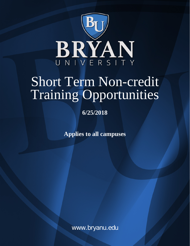

# Short Term Non-credit Training Opportunities

**6/25/2018**

**Applies to all campuses**

www.bryanu.edu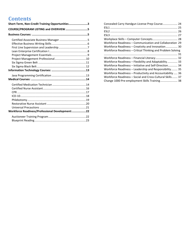# **Contents**

| Short-Term, Non-Credit Training Opportunities3  |  |
|-------------------------------------------------|--|
| COURSE/PROGRAM LISTING and OVERVIEW 5           |  |
|                                                 |  |
|                                                 |  |
|                                                 |  |
| Workforce Readiness/Professional Development:22 |  |
|                                                 |  |

| Concealed Carry Handgun License Prep Course 24              |
|-------------------------------------------------------------|
|                                                             |
|                                                             |
|                                                             |
| Workplace Skills - Computer Concepts 28                     |
| Workforce Readiness – Communication and Collaboration 29    |
| Workforce Readiness - Creativity and Innovation 30          |
| Workforce Readiness – Critical Thinking and Problem Solving |
|                                                             |
|                                                             |
| Workforce Readiness – Flexibility and Adaptability 33       |
| Workforce Readiness - Initiative and Self-Direction 34      |
| Workforce Readiness – Leadership and Responsibility 35      |
| Workforce Readiness – Productivity and Accountability  36   |
| Workforce Readiness – Social and Cross-Cultural Skills 37   |
| Change 1000 Pre-employment Skills Training 38               |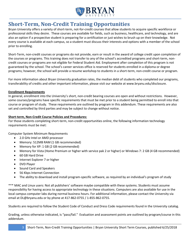

# <span id="page-2-0"></span>**Short-Term, Non-Credit Training Opportunities**

Bryan University offers a variety of short-term, not-for-credit courses that allow students to acquire specific workforce or professional skills they desire. These courses are available for fields, such as business, healthcare, and technology, and are also an option if a prospective student is preparing for a certification or just wishes to brush up on their knowledge. Not every course is available at each campus, so a student must discuss their interests and options with a member of the school prior to enrolling.

Short-Term, non-credit courses or programs do not provide, earn or result in the award of college credit upon completion of the courses or programs. This training does not transfer to any of the school's accredited programs and short-term, noncredit courses or programs are not eligible for Federal Student Aid. Employment after completion of this program is not guaranteed by the school. The school's career services office is reserved for students enrolled in a diploma or degree programs; however, the school will provide a resume workshop to students in a short-term, non-credit course or program.

For more information about Bryan University graduation rates, the median debt of students who completed our programs, transferability of credits and other important information, please visit our website at www.bryanu.edu/disclosure.

#### **Enrollment Requirements**

In general, enrollment into the University's short, non-credit bearing courses are open and without restrictions. However, some courses/programs have specific requirements that must be met prior to a student being permitted to enroll into that course or program of study. These requirements are outlined by program in this addendum. These requirements are also set and controlled by third parties and may be subject to change without notice.

#### **Short-term, Non-Credit Course Policies and Procedures:**

For those students completing short-term, non-credit opportunities online, the following information technology requirements must be met:

Computer System Minimum Requirements

- 2.0 GHz Intel or AMD processor
- Memory: 512MB RAM (1 GB recommended)
- Memory for XP: 1 GB (2 GB recommended)
- Memory for Vista (Home Premium or higher with service pak 2 or higher) or Windows 7: 2 GB (4 GB recommended)
- 60 GB Hard Drive
- Internet Explorer 7 or higher
- DVD Player
- Sound Card and Speakers
- 56 Kbps Internet Connection
- The ability to download and install program-specific software, as required by an individual's program of study

\*\*\* MAC and Linux users: Not all publishers' software maybe compatible with these systems. Students must assume responsibility for having access to appropriate technology in these situations. Computers are also available for use in the local campus computer labs during normal business hours. For additional information, please contact the University via email at DL@bryanu.edu or by phone at 417-862-0755 / 1-855-862-0755.

Students are required to follow the Student Code of Conduct and Dress Code requirements found in the University catalog.

Grading, unless otherwise indicated, is "pass/fail." Evaluation and assessment points are outlined by program/course in this addendum.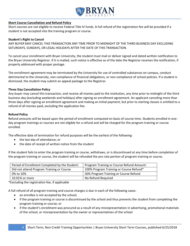

#### **Short Course Cancellation and Refund Policy**

Short courses are not eligible to receive Federal Title IV funds. A full refund of the registration fee will be provided if a student is not accepted into the training program or course.

#### **Student's Right to Cancel**

ANY BUYER MAY CANCEL THIS TRANSACTION ANY TIME PRIOR TO MIDNIGHT OF THE THIRD BUSINESS DAY EXCLUDING SATURDAYS, SUNDAYS, OR LEGAL HOLIDAYS AFTER THE DATE OF THIS TRANSACTION.

To cancel your enrollment with Bryan University, the student must mail or deliver signed and dated written notification to the Bryan University Registrar. If it is mailed, such notice is effective as of the date the Registrar receives the notification, if properly addressed with proper postage.

The enrollment agreement may be terminated by the University for use of controlled substances on campus, conduct detrimental to the University, non-compliance of financial obligations, or non-compliance of school policies. If a student is dismissed, the student may submit an appeal package to the Registrar.

#### **Three Day Cancellation Policy**

Any buyer may cancel this transaction, and receive all monies paid to the institution, any time prior to midnight of the third business day (excluding weekends and holidays) after signing an enrollment agreement. An applicant canceling more than three days after signing an enrollment agreement and making an initial payment, but prior to starting classes is entitled to a refund of all monies paid, excluding the application fee.

#### **Refund Policy**

Refund amounts will be based upon the period of enrollment computed on basis of course time. Students enrolled in oneday program trainings or courses are not eligible for a refund and will be charged for the program training or course enrolled.

The effective date of termination for refund purposes will be the earliest of the following:

- the last day of attendance; or
- the date of receipt of written notice from the student

If the student fails to enter the program training or course, withdraws, or is discontinued at any time before completion of the program training or course, the student will be refunded the pro rata portion of program training or course.

| Period of Enrollment Completed by the Student: | Program Training or Course Refund Amount: |
|------------------------------------------------|-------------------------------------------|
| Did not attend Program Training or Course      | 100% Program Training or Course Refund*   |
| 0% to 10%                                      | 50% Program Training or Course Refund     |
| 10.01% or more                                 | No Refund Required                        |

\*Excluding the registration fee, if applicable

A full refund of all program training and course charges is due in each of the following cases:

- an enrollee is not accepted by the school;
- if the program training or course is discontinued by the school and thus prevents the student from completing the program training or course; or
- if the student's enrollment was procured as a result of any misrepresentation in advertising, promotional materials of the school, or misrepresentation by the owner or representatives of the school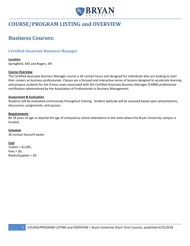

# <span id="page-4-1"></span><span id="page-4-0"></span>**COURSE/PROGRAM LISTING and OVERVIEW**

# **Business Courses:**

# <span id="page-4-2"></span>**Certified Associate Business Manager**

#### **Location**

Springfield, MO and Rogers, AR

#### **Course Overview**

The Certified Associate Business Manager course is 36 contact hours and designed for individuals who are looking to start their careers as business professionals. Classes are a focused and interactive series of lessons designed to accelerate learning and prepare students for the 4-hour exam associated with the Certified Associate Business Manager (CABM) professional certification administered by the Association of Professionals in Business Management.

#### **Assessment & Evaluation**

Students will be evaluated continuously throughout training. Student aptitude will be assessed based upon presentations, discussions, assignments, and quizzes.

#### **Requirements**

Be 18 years of age or beyond the age of compulsory school attendance in the state where the Bryan University campus is located.

#### **Schedule**

36 contact hours/4 weeks

#### **Cost**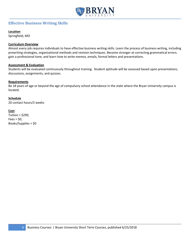

# <span id="page-5-0"></span>**Effective Business Writing Skills**

#### **Location**

Springfield, MO

#### **Curriculum Overview**

Almost every job requires individuals to have effective business writing skills. Learn the process of business writing, including prewriting strategies, organizational methods and revision techniques. Become stronger at correcting grammatical errors; gain a professional tone; and learn how to write memos, emails, formal letters and presentations.

#### **Assessment & Evaluation**

Students will be evaluated continuously throughout training. Student aptitude will be assessed based upon presentations, discussions, assignments, and quizzes.

#### **Requirements**

Be 18 years of age or beyond the age of compulsory school attendance in the state where the Bryan University campus is located.

#### **Schedule**

20 contact hours/2 weeks

#### **Cost**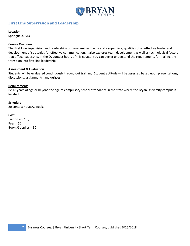

# <span id="page-6-0"></span>**First Line Supervision and Leadership**

#### **Location**

Springfield, MO

#### **Course Overview**

The First Line Supervision and Leadership course examines the role of a supervisor, qualities of an effective leader and development of strategies for effective communication. It also explores team development as well as technological factors that affect leadership. In the 20 contact hours of this course, you can better understand the requirements for making the transition into first-line leadership.

#### **Assessment & Evaluation**

Students will be evaluated continuously throughout training. Student aptitude will be assessed based upon presentations, discussions, assignments, and quizzes.

#### **Requirements**

Be 18 years of age or beyond the age of compulsory school attendance in the state where the Bryan University campus is located.

#### **Schedule**

20 contact hours/2 weeks

#### **Cost**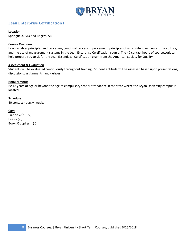

# <span id="page-7-0"></span>**Lean Enterprise Certification I**

#### **Location**

Springfield, MO and Rogers, AR

#### **Course Overview**

Learn enabler principles and processes, continual process improvement, principles of a consistent lean enterprise culture, and the use of measurement systems in the Lean Enterprise Certification course. The 40 contact hours of coursework can help prepare you to sit for the Lean Essentials I Certification exam from the American Society for Quality.

#### **Assessment & Evaluation**

Students will be evaluated continuously throughout training. Student aptitude will be assessed based upon presentations, discussions, assignments, and quizzes.

#### **Requirements**

Be 18 years of age or beyond the age of compulsory school attendance in the state where the Bryan University campus is located.

#### **Schedule**

40 contact hours/4 weeks

#### **Cost**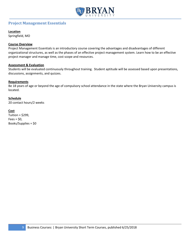

# <span id="page-8-0"></span>**Project Management Essentials**

#### **Location**

Springfield, MO

#### **Course Overview**

Project Management Essentials is an introductory course covering the advantages and disadvantages of different organizational structures, as well as the phases of an effective project management system. Learn how to be an effective project manager and manage time, cost scope and resources.

#### **Assessment & Evaluation**

Students will be evaluated continuously throughout training. Student aptitude will be assessed based upon presentations, discussions, assignments, and quizzes.

#### **Requirements**

Be 18 years of age or beyond the age of compulsory school attendance in the state where the Bryan University campus is located.

#### **Schedule**

20 contact hours/2 weeks

#### **Cost**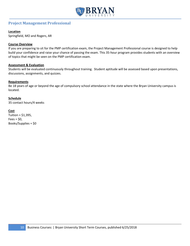

# <span id="page-9-0"></span>**Project Management Professional**

#### **Location**

Springfield, MO and Rogers, AR

#### **Course Overview**

If you are preparing to sit for the PMP certification exam, the Project Management Professional course is designed to help build your confidence and raise your chance of passing the exam. This 35-hour program provides students with an overview of topics that might be seen on the PMP certification exam.

#### **Assessment & Evaluation**

Students will be evaluated continuously throughout training. Student aptitude will be assessed based upon presentations, discussions, assignments, and quizzes.

#### **Requirements**

Be 18 years of age or beyond the age of compulsory school attendance in the state where the Bryan University campus is located.

#### **Schedule**

35 contact hours/4 weeks

#### **Cost**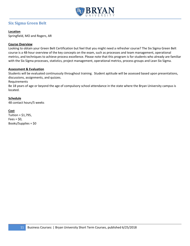

# <span id="page-10-0"></span>**Six Sigma Green Belt**

#### **Location**

Springfield, MO and Rogers, AR

#### **Course Overview**

Looking to obtain your Green Belt Certification but feel that you might need a refresher course? The Six Sigma Green Belt course is a 48-hour overview of the key concepts on the exam, such as processes and team management, operational metrics, and techniques to achieve process excellence. Please note that this program is for students who already are familiar with the Six Sigma processes, statistics, project management, operational metrics, process groups and Lean Six Sigma.

#### **Assessment & Evaluation**

Students will be evaluated continuously throughout training. Student aptitude will be assessed based upon presentations, discussions, assignments, and quizzes.

Requirements

Be 18 years of age or beyond the age of compulsory school attendance in the state where the Bryan University campus is located.

#### **Schedule**

48 contact hours/5 weeks

#### **Cost**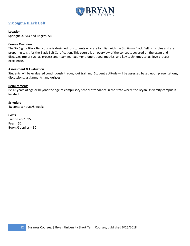

# <span id="page-11-0"></span>**Six Sigma Black Belt**

#### **Location**

Springfield, MO and Rogers, AR

#### **Course Overview**

The Six Sigma Black Belt course is designed for students who are familiar with the Six Sigma Black Belt principles and are preparing to sit for the Black Belt Certification. This course is an overview of the concepts covered on the exam and discusses topics such as process and team management, operational metrics, and key techniques to achieve process excellence.

#### **Assessment & Evaluation**

Students will be evaluated continuously throughout training. Student aptitude will be assessed based upon presentations, discussions, assignments, and quizzes.

#### **Requirements**

Be 18 years of age or beyond the age of compulsory school attendance in the state where the Bryan University campus is located.

#### **Schedule**

48 contact hours/5 weeks

#### **Costs**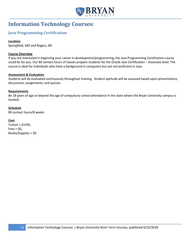

# <span id="page-12-0"></span>**Information Technology Courses:**

# <span id="page-12-1"></span>**Java Programming Certification**

#### **Location**

Springfield, MO and Rogers, AR

#### **Course Overview**

If you are interested in beginning your career in development/programming, the Java Programming Certification course could be for you. Our 80 contact hours of classes prepare students for the Oracle Java Certification – Associate level. The course is ideal for individuals who have a background in computers but are not proficient in Java.

#### **Assessment & Evaluation**

Students will be evaluated continuously throughout training. Student aptitude will be assessed based upon presentations, discussions, assignments, and quizzes.

#### **Requirements**

Be 18 years of age or beyond the age of compulsory school attendance in the state where the Bryan University campus is located.

#### **Schedule**

80 contact hours/8 weeks

#### **Cost**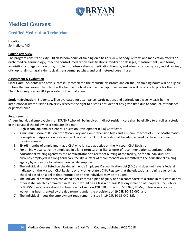

# <span id="page-13-0"></span>**Medical Courses:**

# <span id="page-13-1"></span>**Certified Medication Technician**

#### **Location**

Springfield, MO

#### **Course Overview**

The program consists of sixty (60) classroom hours of training on a basic review of body systems and medication effects on each; medical terminology; infection control; medication classifications; medication dosages, measurements, and forms; acquisition, storage, and security; problems of observation in medication therapy; and administration by oral, rectal, vaginal, otic, ophthalmic, nasal, skin, topical, transdermal patches, and oral metered dose inhaler.

#### **Assessment & Evaluation**

**Final Exam:** Students who have successfully completed the requisite classroom and on-the-job training hours will be eligible to take the final exam. The school will schedule the final exam and an approved examiner will be onsite to proctor the test. The school requires an 80% pass rate for the final exam.

**Student Evaluation:** Students will be evaluated for attendance, participation, and aptitude on a weekly basis by the instructor/facilitator. Bryan University reserves the right to dismiss a student at any given time due to conduct, attendance, or performance.

#### Requirements

(A) Any individual employable in an ICF/SNF who will be involved in direct resident care shall be eligible to enroll as a student in the course if the following criteria are also met:

- 1. High school diploma or General Education Development (GED) Certificate;
- 2. A minimum score of 8.9 on both Vocabulary and Comprehension tests and a minimum score of 7.0 on Mathematics Concepts and Application tests on the D level of the TABE. The tests shall be administered by the educational training agency;
- 3. Six (6) months of employment as a CNA who is listed as active on the Missouri CNA Registry;
- 4. For an individual currently employed in a long-term care facility, a letter of recommendation submitted to the educational training agency by the administrator or director of nursing of the facility, or for an individual not currently employed in a long-term care facility, a letter of recommendation submitted to the educational training agency by a previous long-term care facility employer;
- 5. The individual is not listed on the department's Employee Disqualification List (EDL) and does not have a Federal Indicator on the Missouri CNA Registry or any other state's CNA Registry that the educational training agency has checked based on a belief that information on the individual may be included;
- 6. The individual has not been convicted of or entered a plea of guilty or nolo contendere to a crime in this state or any other state, which if committed in Missouri would be a Class A or Class B felony violation of Chapters 565, 566, or 569, RSMo, or any violation of subsection 3 of section 198.070, or section 568.020, RSMo, unless a good cause waiver has been granted by the department under the provisions of 19 CSR 30- 82.060; and
- 7. The individual meets the employment requirements listed in 19 CSR 30-85.042(32).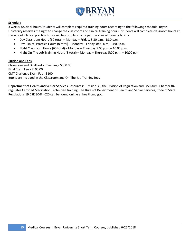

#### **Schedule**

3 weeks, 68 clock hours. Students will complete required training hours according to the following schedule. Bryan University reserves the right to change the classroom and clinical training hours. Students will complete classroom hours at the school. Clinical practice hours will be completed at a partner clinical training facility.

- Day Classroom Hours (60 total) Monday Friday, 8:30 a.m. -1:30 p.m.
- Day Clinical Practice Hours (8 total) Monday Friday, 8:00 a.m. 4:00 p.m.
- Night Classroom Hours (60 total) Monday Thursday 5:00 p.m. 10:00 p.m.
- Night On-The-Job Training Hours (8 total) Monday Thursday 5:00 p.m. 10:00 p.m.

#### **Tuition and Fees**

Classroom and On-The-Job Training - \$500.00 Final Exam Fee - \$100.00 CMT Challenge Exam Fee - \$100 Books are included in the Classroom and On-The-Job Training fees

**Department of Health and Senior Services Resources:** Division 30, the Division of Regulation and Licensure, Chapter 84 regulates Certified Medication Technician training. The Rules of Department of Health and Senior Services, Code of State Regulations 19 CSR 30-84.020 can be found online at health.mo.gov.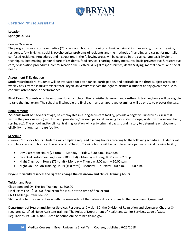

# <span id="page-15-0"></span>**Certified Nurse Assistant**

#### **Location**

Springfield, MO

#### Course Overview

The program consists of seventy-five (75) classroom hours of training on basic nursing skills, fire safety, disaster training, resident safety & rights, social & psychological problems of residents and the methods of handling and caring for mentallyconfused residents. Procedures and instructions in the following areas will be covered in the curriculum: basic hygiene techniques, bed making, personal care of residents, food service, charting, safety measures, basic preventative & restorative care, observation procedures, communication skills, ethical & legal responsibilities, death & dying, mental health, and social needs.

#### **Assessment & Evaluation**

**Student Evaluation:** Students will be evaluated for attendance, participation, and aptitude in the three subject areas on a weekly basis by the instructor/facilitator. Bryan University reserves the right to dismiss a student at any given time due to conduct, attendance, or performance.

**Final Exam:** Students who have successfully completed the requisite classroom and on-the-job training hours will be eligible to take the final exam. The school will schedule the final exam and an approved examiner will be onsite to proctor the test.

#### **Requirements**

Students must be 16 years of age, be employable in a long-term care facility, provide a negative Tuberculosis skin test within the previous six (6) months, and provide his/her own personal learning tools (stethoscope, watch with a second hand, scrubs, etc). The school and/or clinical training location will verify criminal background history to determine employment eligibility in a long-term care facility.

#### **Schedule**

6 weeks, 175 clock hours; Students will complete required training hours according to the following schedule. Students will complete classroom hours at the school. On-The-Job Training hours will be completed at a partner clinical training facility.

- Day Classroom Hours (75 total) Monday Friday, 8:30 a.m. -1:30 p.m.
- Day On-The-Job Training Hours (100 total) Monday Friday, 8:00 a.m. 2:00 p.m.
- Night Classroom Hours (75 total) Monday Thursday 5:00 p.m. 10:00 p.m.
- Night On-The-Job Training Hours (100 total) Monday Thursday 5:00 p.m. 10:00 p.m.

#### **Bryan University reserves the right to change the classroom and clinical training hours**

#### **Tuition and Fees**

Classroom and On-The-Job Training - \$1300.00 Final Exam Fee - \$100.00 (final exam fee is due at the time of final exam) CNA Challenge Exam Fee - \$100 \$650 is due before classes begin with the remainder of the balance due according to the Enrollment Agreement.

**Department of Health and Senior Services Resources:** Division 30, the Division of Regulation and Licensure, Chapter 84 regulates Certified Nurse Assistant training. The Rules of Department of Health and Senior Services, Code of State Regulations 19 CSR 30-84.010 can be found online at health.mo.gov.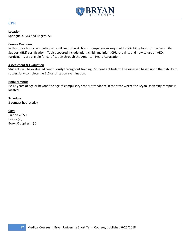

### <span id="page-16-0"></span>**CPR**

#### **Location**

Springfield, MO and Rogers, AR

#### **Course Overview**

In this three hour class participants will learn the skills and competencies required for eligibility to sit for the Basic Life Support (BLS) certification. Topics covered include adult, child, and infant CPR, choking, and how to use an AED. Participants are eligible for certification through the American Heart Association.

#### **Assessment & Evaluation**

Students will be evaluated continuously throughout training. Student aptitude will be assessed based upon their ability to successfully complete the BLS certification examination.

#### **Requirements**

Be 18 years of age or beyond the age of compulsory school attendance in the state where the Bryan University campus is located.

#### **Schedule**

3 contact hours/1day

#### **Cost**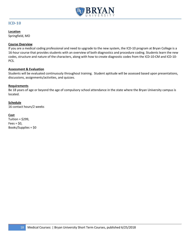

### <span id="page-17-0"></span>**ICD-10**

#### **Location**

Springfield, MO

#### **Course Overview**

If you are a medical coding professional and need to upgrade to the new system, the ICD-10 program at Bryan College is a 16-hour course that provides students with an overview of both diagnostics and procedure coding. Students learn the new codes, structure and nature of the characters, along with how to create diagnostic codes from the ICD-10-CM and ICD-10- PCS.

#### **Assessment & Evaluation**

Students will be evaluated continuously throughout training. Student aptitude will be assessed based upon presentations, discussions, assignments/activities, and quizzes.

#### **Requirements**

Be 18 years of age or beyond the age of compulsory school attendance in the state where the Bryan University campus is located.

#### **Schedule**

16 contact hours/2 weeks

#### **Cost**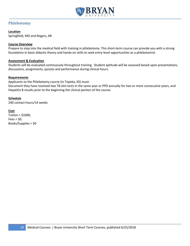

# <span id="page-18-0"></span>**Phlebotomy**

#### **Location**

Springfield, MO and Rogers, AR

#### **Course Overview**

Prepare to step into the medical field with training in phlebotomy. This short-term course can provide you with a strong foundation in basic didactic theory and hands-on skills to seek entry-level opportunities as a phlebotomist.

#### **Assessment & Evaluation**

Students will be evaluated continuously throughout training. Student aptitude will be assessed based upon presentations, discussions, assignments, quizzes and performance during clinical hours.

#### **Requirements**

Applicants to the Phlebotomy course (in Topeka, KS) must: Document they have received two TB skin tests in the same year or PPD annually for two or more consecutive years, and Hepatitis B results prior to the beginning the clinical portion of the course.

#### **Schedule**

240 contact hours/14 weeks

#### **Cost**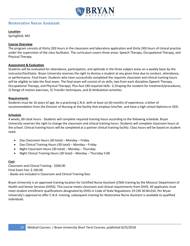

# <span id="page-19-0"></span>**Restorative Nurse Assistant**

#### **Location**

Springfield, MO

#### **Course Overview**

The program consists of thirty (30) hours in the classroom and laboratory application and thirty (30) hours of clinical practice under the supervision of the class facilitator. The curriculum covers three areas: Speech Therapy, Occupational Therapy, and Physical Therapy.

#### **Assessment & Evaluation**

Students will be evaluated for attendance, participation, and aptitude in the three subject areas on a weekly basis by the instructor/facilitator. Bryan University reserves the right to dismiss a student at any given time due to conduct, attendance, or performance. Final Exam: Students who have successfully completed the requisite classroom and clinical training hours will be eligible to take the final exam. The final exam will consist of six skills, two from each discipline (Speech Therapy, Occupational Therapy, and Physical Therapy). Plus four (40 required skills: 1) Draping the resident for treatment/procedures, 2) Range of motion exercises, 3) Transfer techniques, and 4) Ambulation activities.

#### **Requirements**

Students must be 16 years of age, be a practicing C.N.A. with at least six (6) months of experience, a letter of recommendation from the Director of Nursing at the facility that employs him/her, and have a high school diploma or GED.

#### **Schedule**

4 weeks, 60 clock hours - Students will complete required training hours according to the following schedule. Bryan University reserves the right to change the classroom and clinical training hours. Students will complete classroom hours at the school. Clinical training hours will be completed at a partner clinical training facility. Class hours will be based on student need.

- Day Classroom Hours (30 total) Monday Friday
- Day Clinical Training Hours (30 total) Monday Friday
- Night Classroom Hours (30 total) Monday Thursday
- Night Clinical Training Hours (30 total) Monday Thursday 5:00

#### **Cost**

Classroom and Clinical Training - \$500.00 Final Exam Fee: \$ 100.00 - Books are included in Classroom and Clinical Training fees

Bryan University is an approved training location for Certified Nurse Assistant (CNA) training by the Missouri Department of Health and Senior Services (DHSS). This course meets classroom and clinical requirements from DHSS. All applicants must meet student enrollment qualifications designated by DHSS in Code of State Regulations 19 CSR 30-84.010. Per Bryan University's approval to offer C.N.A. training, subsequent training for Restorative Nurse Assistant is available to qualified individuals.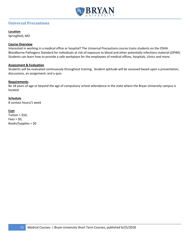

# <span id="page-20-0"></span>**Universal Precautions**

#### **Location**

Springfield, MO

#### **Course Overview**

Interested in working in a medical office or hospital? The Universal Precautions course trains students on the OSHA Bloodborne Pathogens Standard for individuals at risk of exposure to blood and other potentially infections material (OPIM). Students can learn how to provide a safe workplace for the employees of medical offices, hospitals, clinics and more.

#### **Assessment & Evaluation**

Students will be evaluated continuously throughout training. Student aptitude will be assessed based upon a presentation, discussions, an assignment, and a quiz.

#### **Requirements**

Be 18 years of age or beyond the age of compulsory school attendance in the state where the Bryan University campus is located.

#### **Schedule**

8 contact hours/1 week

#### **Cost**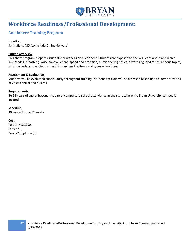

# <span id="page-21-0"></span>**Workforce Readiness/Professional Development:**

# <span id="page-21-1"></span>**Auctioneer Training Program**

#### **Location**

Springfield, MO (to include Online delivery)

#### **Course Overview**

This short program prepares students for work as an auctioneer. Students are exposed to and will learn about applicable laws/codes, breathing, voice control, chant, speed and precision, auctioneering ethics, advertising, and miscellaneous topics, which include an overview of specific merchandise items and types of auctions.

#### **Assessment & Evaluation**

Students will be evaluated continuously throughout training. Student aptitude will be assessed based upon a demonstration of voice control and quizzes.

#### **Requirements**

Be 18 years of age or beyond the age of compulsory school attendance in the state where the Bryan University campus is located.

#### **Schedule**

80 contact hours/2 weeks

#### **Cost**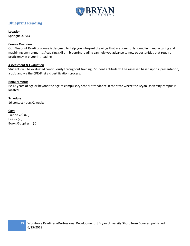

# <span id="page-22-0"></span>**Blueprint Reading**

**Location**

Springfield, MO

#### **Course Overview**

Our Blueprint Reading course is designed to help you interpret drawings that are commonly found in manufacturing and machining environments. Acquiring skills in blueprint reading can help you advance to new opportunities that require proficiency in blueprint reading.

#### **Assessment & Evaluation**

Students will be evaluated continuously throughout training. Student aptitude will be assessed based upon a presentation, a quiz and via the CPR/First aid certification process.

#### **Requirements**

Be 18 years of age or beyond the age of compulsory school attendance in the state where the Bryan University campus is located.

#### **Schedule**

16 contact hours/2 weeks

#### **Cost**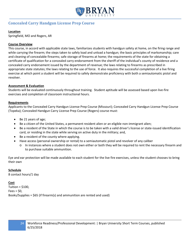

# <span id="page-23-0"></span>**Concealed Carry Handgun License Prep Course**

#### **Location**

Springfield, MO and Rogers, AR

#### **Course Overview**

This course, in accord with applicable state laws, familiarizes students with handgun safety at home, on the firing range and while carrying the firearm; the steps taken to safely load and unload a handgun; the basic principles of marksmanship; care and cleaning of concealable firearms; safe storage of firearms at home; the requirements of the state for obtaining a certificate of qualification for a concealed carry endorsement from the sheriff of the individual's county of residence and a concealed carry endorsement issued by the department of revenue; the laws relating to firearms as prescribed in appropriate state statutes; the laws relating to the use of force. It also requires the successful completion of a live firing exercise at which point a student will be required to safely demonstrate proficiency with both a semiautomatic pistol and revolver.

#### **Assessment & Evaluation**

Students will be evaluated continuously throughout training. Student aptitude will be assessed based upon live-fire exercises and completion of classroom instructional hours.

#### **Requirements**

Applicants to the Concealed Carry Handgun License Prep Course (Missouri); Concealed Carry Handgun License Prep Course (Topeka); Concealed Handgun Carry License Prep Course (Rogers) course must:

- Be 21 years of age;
- Be a citizen of the United States, a permanent resident alien or an eligible non-immigrant alien;
- Be a resident of the State in which the course is to be taken with a valid driver's license or state-issued identification card, or residing in the state while serving on active duty in the military; and,
- Be a resident of the county where applying.
- Have access (personal ownership or rental) to a semiautomatic pistol and revolver of any caliber
	- o In instances where a student does not own either or both they will be required to rent the necessary firearm and to purchase suitable ammunition.

Eye and ear protection will be made available to each student for the live fire exercises, unless the student chooses to bring their own

#### **Schedule**

8 contact hours/1 day

#### **Cost**

Tuition =  $$100$ ,  $Fees = $0,$ Books/Supplies = \$65 (if firearm(s) and ammunition are rented and used)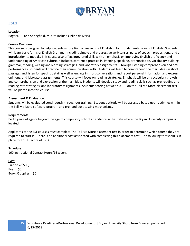

### <span id="page-24-0"></span>**ESL1**

#### **Location**

Rogers, AR and Springfield, MO (to include Online delivery)

#### **Course Overview**

This course is designed to help students whose first language is not English in four fundamental areas of English. Students will learn basic forms of English Grammar including simple and progressive verb tenses, parts of speech, prepositions, and an introduction to modals. This course also offers integrated skills with an emphasis on improving English proficiency and understanding of American culture. It includes continued practice in listening, speaking, pronunciation, vocabulary building, grammar, reading, writing and learning strategies, and laboratory assignments. Through listening comprehension and oral performances, students will practice their communication skills. Students will learn to comprehend the main ideas in short passages and listen for specific detail as well as engage in short conversations and report personal information and express opinions, and laboratory assignments. This course will focus on reading strategies. Emphasis will be on vocabulary growth and comprehension and expression of the main idea. Students will develop study and reading skills such as pre-reading and reading rate strategies, and laboratory assignments. Students scoring between  $0 - 3$  on the Tell Me More placement test will be placed into this course.

#### **Assessment & Evaluation**

Students will be evaluated continuously throughout training. Student aptitude will be assessed based upon activities within the Tell Me More software program and pre- and post-testing mechanisms.

#### **Requirements**

Be 18 years of age or beyond the age of compulsory school attendance in the state where the Bryan University campus is located.

Applicants to the ESL courses must complete The Tell Me More placement test in order to determine which course they are required to start in. There is no additional cost associated with completing this placement test. The following threshold is in place for ESL 1: score of 0 - 3

#### **Schedule**

160 Instructional Contact Hours/16 weeks

#### **Cost**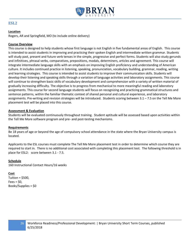

#### <span id="page-25-0"></span>**ESL2**

#### **Location**

Rogers, AR and Springfield, MO (to include online delivery)

#### **Course Overview**

This course is designed to help students whose first language is not English in five fundamental areas of English. This course is intended to assist students in improving and practicing their spoken English and intermediate written grammar. Students will study past, present and future verb tenses in the simple, progressive and perfect forms. Students will also study gerunds and infinitives, phrasal verbs, comparatives, prepositions, modals, determiners, articles and agreement. This course will integrate intermediate language skills with an emphasis on improving English proficiency and understanding of American culture. It includes continued practice in listening, speaking, pronunciation, vocabulary building, grammar, reading, writing and learning strategies. This course is intended to assist students to improve their communication skills. Students will develop their listening and speaking skills through a variation of language activities and laboratory assignments. This course will continue to strengthen basic skills of vocabulary development and comprehension with a variety of written material of gradually increasing difficulty. The objective is to progress from mechanical to more meaningful reading and laboratory assignments. This course for second language students will focus on recognizing and practicing grammatical structures and sentence patterns, within the familiar thematic context of shared personal and cultural experience, and laboratory assignments. Pre-writing and revision strategies will be introduced. Students scoring between 3.1 – 7.5 on the Tell Me More placement test will be placed into this course.

#### **Assessment & Evaluation**

Students will be evaluated continuously throughout training. Student aptitude will be assessed based upon activities within the Tell Me More software program and pre- and post-testing mechanisms.

#### **Requirements**

Be 18 years of age or beyond the age of compulsory school attendance in the state where the Bryan University campus is located.

Applicants to the ESL courses must complete The Tell Me More placement test in order to determine which course they are required to start in. There is no additional cost associated with completing this placement test. The following threshold is in place for ESL2: score between 3.1 - 7.5.

#### **Schedule**

160 Instructional Contact Hours/16 weeks

#### **Cost**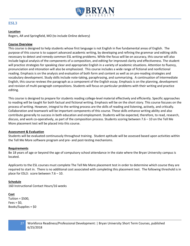

#### <span id="page-26-0"></span>**ESL3**

#### **Location**

Rogers, AR and Springfield, MO (to include Online delivery)

#### **Course Overview**

This course is designed to help students whose first language is not English in five fundamental areas of English. The purpose of this course is to support advanced academic writing, by developing and refining the grammar and editing skills necessary to detect and remedy common ESL writing problems. While the focus will be on accuracy, this course will also include logical analysis of the components of a composition, and editing for improved clarity and effectiveness. The student will practice strategies for speaking clear and appropriate English in a variety of academic situations. Attention to fluency, pronunciation and intonation will also be emphasized. This course includes a wide range of fictional and nonfictional reading. Emphasis is on the analysis and evaluation of both form and content as well as on pre-reading strategies and vocabulary development. Study skills include note-taking, paraphrasing, and summarizing. A continuation of Intermediate English, this course reviews the paragraph as a component of the English essay. Emphasis is on the planning, development and revision of multi-paragraph compositions. Students will focus on particular problems with their writing and practice editing.

This course is designed to prepare for students reading college-level material effectively and efficiently. Specific approaches to reading will be taught for both factual and fictional writing. Emphasis will be on the short story. This course focuses on the process of writing. However, integral to the writing process are the skills of reading and listening, actively, and critically. Collaboration and teamwork will be important components of this course. These skills enhance writing ability and also contribute generally to success in both education and employment. Students will be expected, therefore, to read, research, discuss, and work co-operatively, as part of the composition process. Students scoring between 7.6 – 10 on the Tell Me More placement test will be placed into this course.

#### **Assessment & Evaluation**

Students will be evaluated continuously throughout training. Student aptitude will be assessed based upon activities within the Tell Me More software program and pre- and post-testing mechanisms.

#### **Requirements**

Be 18 years of age or beyond the age of compulsory school attendance in the state where the Bryan University campus is located.

Applicants to the ESL courses must complete The Tell Me More placement test in order to determine which course they are required to start in. There is no additional cost associated with completing this placement test. The following threshold is in place for ESL3: score between 7.6 – 10.

#### **Schedule**

160 Instructional Contact Hours/16 weeks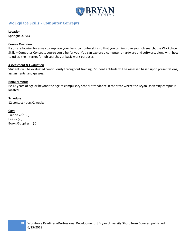

# <span id="page-27-0"></span>**Workplace Skills – Computer Concepts**

#### **Location**

Springfield, MO

#### **Course Overview**

If you are looking for a way to improve your basic computer skills so that you can improve your job search, the Workplace Skills – Computer Concepts course could be for you. You can explore a computer's hardware and software, along with how to utilize the Internet for job searches or basic work purposes.

#### **Assessment & Evaluation**

Students will be evaluated continuously throughout training. Student aptitude will be assessed based upon presentations, assignments, and quizzes.

#### **Requirements**

Be 18 years of age or beyond the age of compulsory school attendance in the state where the Bryan University campus is located.

#### **Schedule**

12 contact hours/2 weeks

#### **Cost**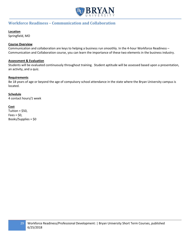

# <span id="page-28-0"></span>**Workforce Readiness – Communication and Collaboration**

#### **Location**

Springfield, MO

#### **Course Overview**

Communication and collaboration are keys to helping a business run smoothly. In the 4-hour Workforce Readiness – Communication and Collaboration course, you can learn the importance of these two elements in the business industry.

#### **Assessment & Evaluation**

Students will be evaluated continuously throughout training. Student aptitude will be assessed based upon a presentation, an activity, and a quiz.

#### **Requirements**

Be 18 years of age or beyond the age of compulsory school attendance in the state where the Bryan University campus is located.

#### **Schedule**

4 contact hours/1 week

#### **Cost**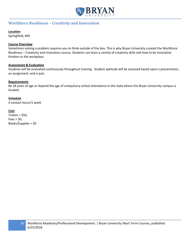

### <span id="page-29-0"></span>**Workforce Readiness – Creativity and Innovation**

#### **Location**

Springfield, MO

#### **Course Overview**

Sometimes solving a problem requires you to think outside of the box. This is why Bryan University created the Workforce Readiness – Creativity and Innovation course. Students can learn a variety of creativity skills and how to be innovative thinkers in the workplace.

#### **Assessment & Evaluation**

Students will be evaluated continuously throughout training. Student aptitude will be assessed based upon a presentation, an assignment, and a quiz.

#### **Requirements**

Be 18 years of age or beyond the age of compulsory school attendance in the state where the Bryan University campus is located.

#### **Schedule**

4 contact hours/1 week

#### **Cost**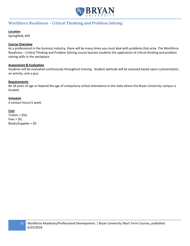

# <span id="page-30-0"></span>**Workforce Readiness – Critical Thinking and Problem Solving**

#### **Location**

Springfield, MO

#### **Course Overview**

As a professional in the business industry, there will be many times you must deal with problems that arise. The Workforce Readiness – Critical Thinking and Problem Solving course teaches students the application of critical thinking and problem solving skills in the workplace.

#### **Assessment & Evaluation**

Students will be evaluated continuously throughout training. Student aptitude will be assessed based upon a presentation, an activity, and a quiz.

#### **Requirements**

Be 18 years of age or beyond the age of compulsory school attendance in the state where the Bryan University campus is located.

#### **Schedule**

4 contact hours/1 week

#### **Cost**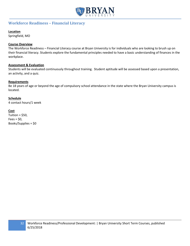

# <span id="page-31-0"></span>**Workforce Readiness – Financial Literacy**

#### **Location**

Springfield, MO

#### **Course Overview**

The Workforce Readiness – Financial Literacy course at Bryan University is for individuals who are looking to brush up on their financial literacy. Students explore the fundamental principles needed to have a basic understanding of finances in the workplace.

#### **Assessment & Evaluation**

Students will be evaluated continuously throughout training. Student aptitude will be assessed based upon a presentation, an activity, and a quiz.

#### **Requirements**

Be 18 years of age or beyond the age of compulsory school attendance in the state where the Bryan University campus is located.

#### **Schedule**

4 contact hours/1 week

#### **Cost**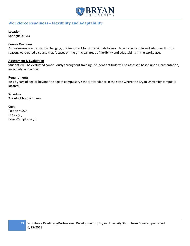

# <span id="page-32-0"></span>**Workforce Readiness – Flexibility and Adaptability**

#### **Location**

Springfield, MO

#### **Course Overview**

As businesses are constantly changing, it is important for professionals to know how to be flexible and adaptive. For this reason, we created a course that focuses on the principal areas of flexibility and adaptability in the workplace.

#### **Assessment & Evaluation**

Students will be evaluated continuously throughout training. Student aptitude will be assessed based upon a presentation, an activity, and a quiz.

#### **Requirements**

Be 18 years of age or beyond the age of compulsory school attendance in the state where the Bryan University campus is located.

#### **Schedule**

2 contact hours/1 week

#### **Cost**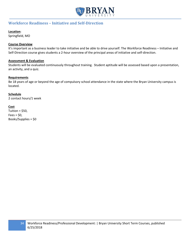

# <span id="page-33-0"></span>**Workforce Readiness – Initiative and Self-Direction**

#### **Location**:

Springfield, MO

#### **Course Overview**

It's important as a business leader to take initiative and be able to drive yourself. The Workforce Readiness – Initiative and Self-Direction course gives students a 2-hour overview of the principal areas of initiative and self-direction.

#### **Assessment & Evaluation**

Students will be evaluated continuously throughout training. Student aptitude will be assessed based upon a presentation, an activity, and a quiz.

#### **Requirements**

Be 18 years of age or beyond the age of compulsory school attendance in the state where the Bryan University campus is located.

#### **Schedule**

2 contact hours/1 week

#### **Cost**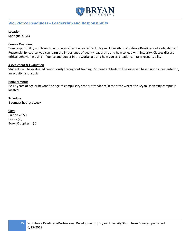

# <span id="page-34-0"></span>**Workforce Readiness – Leadership and Responsibility**

#### **Location**

Springfield, MO

#### **Course Overview**

Take responsibility and learn how to be an effective leader! With Bryan University's Workforce Readiness – Leadership and Responsibility course, you can learn the importance of quality leadership and how to lead with integrity. Classes discuss ethical behavior in using influence and power in the workplace and how you as a leader can take responsibility.

#### **Assessment & Evaluation**

Students will be evaluated continuously throughout training. Student aptitude will be assessed based upon a presentation, an activity, and a quiz.

#### **Requirements**

Be 18 years of age or beyond the age of compulsory school attendance in the state where the Bryan University campus is located.

#### **Schedule**

4 contact hours/1 week

#### **Cost**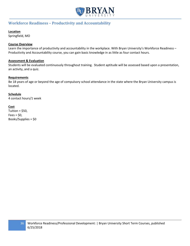

# <span id="page-35-0"></span>**Workforce Readiness – Productivity and Accountability**

#### **Location**

Springfield, MO

#### **Course Overview**

Learn the importance of productivity and accountability in the workplace. With Bryan University's Workforce Readiness – Productivity and Accountability course, you can gain basic knowledge in as little as four contact hours.

#### **Assessment & Evaluation**

Students will be evaluated continuously throughout training. Student aptitude will be assessed based upon a presentation, an activity, and a quiz.

#### **Requirements**

Be 18 years of age or beyond the age of compulsory school attendance in the state where the Bryan University campus is located.

#### **Schedule**

4 contact hours/1 week

#### **Cost**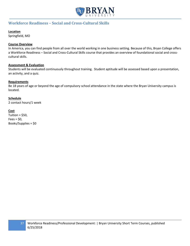

# <span id="page-36-0"></span>**Workforce Readiness – Social and Cross-Cultural Skills**

#### **Location**

Springfield, MO

#### **Course Overview**

In America, you can find people from all over the world working in one business setting. Because of this, Bryan College offers a Workforce Readiness – Social and Cross-Cultural Skills course that provides an overview of foundational social and crosscultural skills.

#### **Assessment & Evaluation**

Students will be evaluated continuously throughout training. Student aptitude will be assessed based upon a presentation, an activity, and a quiz.

#### **Requirements**

Be 18 years of age or beyond the age of compulsory school attendance in the state where the Bryan University campus is located.

#### **Schedule**

2 contact hours/1 week

#### **Cost**